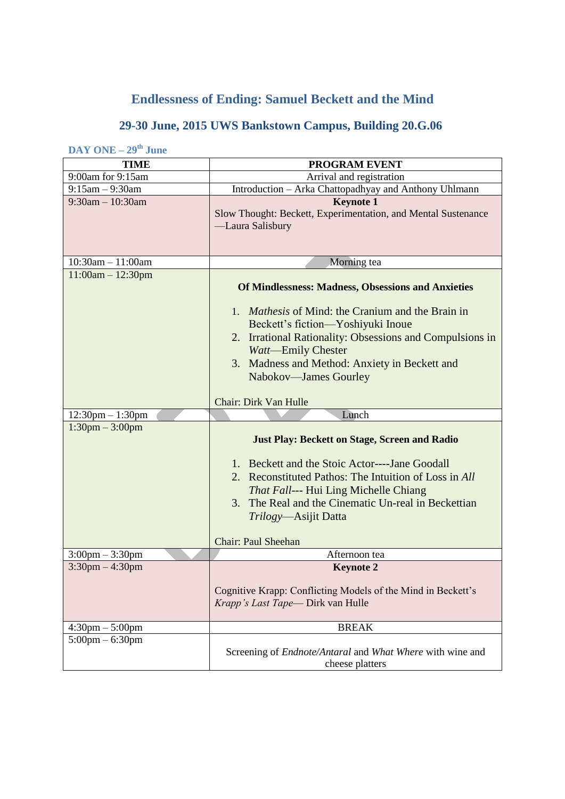## **Endlessness of Ending: Samuel Beckett and the Mind**

## **29-30 June, 2015 UWS Bankstown Campus, Building 20.G.06**

**DAY ONE – 29th June**

| <b>TIME</b>                       | PROGRAM EVENT                                                 |
|-----------------------------------|---------------------------------------------------------------|
| 9:00am for 9:15am                 | Arrival and registration                                      |
| $9:15am - 9:30am$                 | Introduction - Arka Chattopadhyay and Anthony Uhlmann         |
| $9:30$ am $-10:30$ am             | <b>Keynote 1</b>                                              |
|                                   | Slow Thought: Beckett, Experimentation, and Mental Sustenance |
|                                   | -Laura Salisbury                                              |
|                                   |                                                               |
| $10:30am - 11:00am$               | Morning tea                                                   |
| $11:00am - 12:30pm$               |                                                               |
|                                   | <b>Of Mindlessness: Madness, Obsessions and Anxieties</b>     |
|                                   |                                                               |
|                                   | 1. <i>Mathesis</i> of Mind: the Cranium and the Brain in      |
|                                   | Beckett's fiction—Yoshiyuki Inoue                             |
|                                   | 2. Irrational Rationality: Obsessions and Compulsions in      |
|                                   | Watt-Emily Chester                                            |
|                                   | 3. Madness and Method: Anxiety in Beckett and                 |
|                                   | Nabokov-James Gourley                                         |
|                                   |                                                               |
|                                   | Chair: Dirk Van Hulle                                         |
| $12:30$ pm $-1:30$ pm             | Lunch                                                         |
| $1:30 \text{pm} - 3:00 \text{pm}$ |                                                               |
|                                   | <b>Just Play: Beckett on Stage, Screen and Radio</b>          |
|                                   |                                                               |
|                                   | 1. Beckett and the Stoic Actor----Jane Goodall                |
|                                   | 2. Reconstituted Pathos: The Intuition of Loss in All         |
|                                   | <i>That Fall</i> --- Hui Ling Michelle Chiang                 |
|                                   | 3. The Real and the Cinematic Un-real in Beckettian           |
|                                   | <i>Trilogy</i> —Asijit Datta                                  |
|                                   |                                                               |
|                                   | <b>Chair: Paul Sheehan</b>                                    |
| $3:00 \text{pm} - 3:30 \text{pm}$ | Afternoon tea                                                 |
| $3:30$ pm $-4:30$ pm              | <b>Keynote 2</b>                                              |
|                                   | Cognitive Krapp: Conflicting Models of the Mind in Beckett's  |
|                                   | Krapp's Last Tape—Dirk van Hulle                              |
|                                   |                                                               |
| $4:30 \text{pm} - 5:00 \text{pm}$ | <b>BREAK</b>                                                  |
| $5:00 \text{pm} - 6:30 \text{pm}$ |                                                               |
|                                   | Screening of Endnote/Antaral and What Where with wine and     |
|                                   | cheese platters                                               |